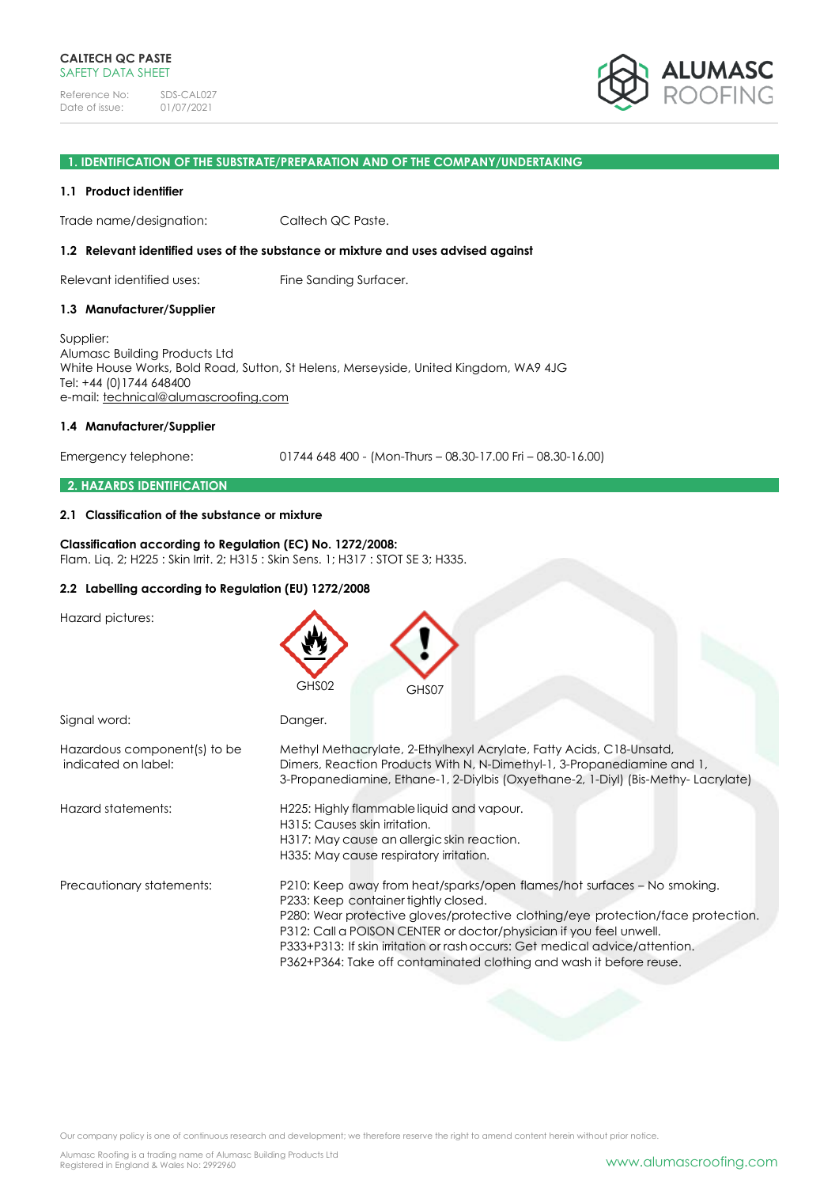

### **1. IDENTIFICATION OF THE SUBSTRATE/PREPARATION AND OF THE COMPANY/UNDERTAKING**

#### **1.1 Product identifier**

Trade name/designation: Caltech QC Paste.

#### **1.2 Relevant identified uses of the substance or mixture and uses advised against**

Relevant identified uses: Fine Sanding Surfacer.

#### **1.3 Manufacturer/Supplier**

Supplier: Alumasc Building Products Ltd White House Works, Bold Road, Sutton, St Helens, Merseyside, United Kingdom, WA9 4JG Tel: +44 (0)1744 648400 e-mail: [technical@alumascroofing.com](mailto:technical@alumascroofing.com)

#### **1.4 Manufacturer/Supplier**

Emergency telephone: 01744 648 400 - (Mon-Thurs – 08.30-17.00 Fri – 08.30-16.00)

#### **2. HAZARDS IDENTIFICATION**

#### **2.1 Classification of the substance or mixture**

### **Classification according to Regulation (EC) No. 1272/2008:** Flam. Liq. 2; H225 : Skin Irrit. 2; H315 : Skin Sens. 1; H317 : STOT SE 3; H335.

### **2.2 Labelling according to Regulation (EU) 1272/2008**

Hazard pictures:

|                                                     | GHS02<br>GHS07                                                                                                                                                                                                                                                                                                                                                                                                                  |
|-----------------------------------------------------|---------------------------------------------------------------------------------------------------------------------------------------------------------------------------------------------------------------------------------------------------------------------------------------------------------------------------------------------------------------------------------------------------------------------------------|
| Signal word:                                        | Danger.                                                                                                                                                                                                                                                                                                                                                                                                                         |
| Hazardous component(s) to be<br>indicated on label: | Methyl Methacrylate, 2-Ethylhexyl Acrylate, Fatty Acids, C18-Unsatd,<br>Dimers, Reaction Products With N, N-Dimethyl-1, 3-Propanediamine and 1,<br>3-Propanediamine, Ethane-1, 2-Diylbis (Oxyethane-2, 1-Diyl) (Bis-Methy-Lacrylate)                                                                                                                                                                                            |
| Hazard statements:                                  | H225: Highly flammable liquid and vapour.<br>H315: Causes skin irritation.<br>H317: May cause an allergic skin reaction.<br>H335: May cause respiratory irritation.                                                                                                                                                                                                                                                             |
| Precautionary statements:                           | P210: Keep away from heat/sparks/open flames/hot surfaces - No smoking.<br>P233: Keep container tightly closed.<br>P280: Wear protective gloves/protective clothing/eye protection/face protection.<br>P312: Call a POISON CENTER or doctor/physician if you feel unwell.<br>P333+P313: If skin irritation or rash occurs: Get medical advice/attention.<br>P362+P364: Take off contaminated clothing and wash it before reuse. |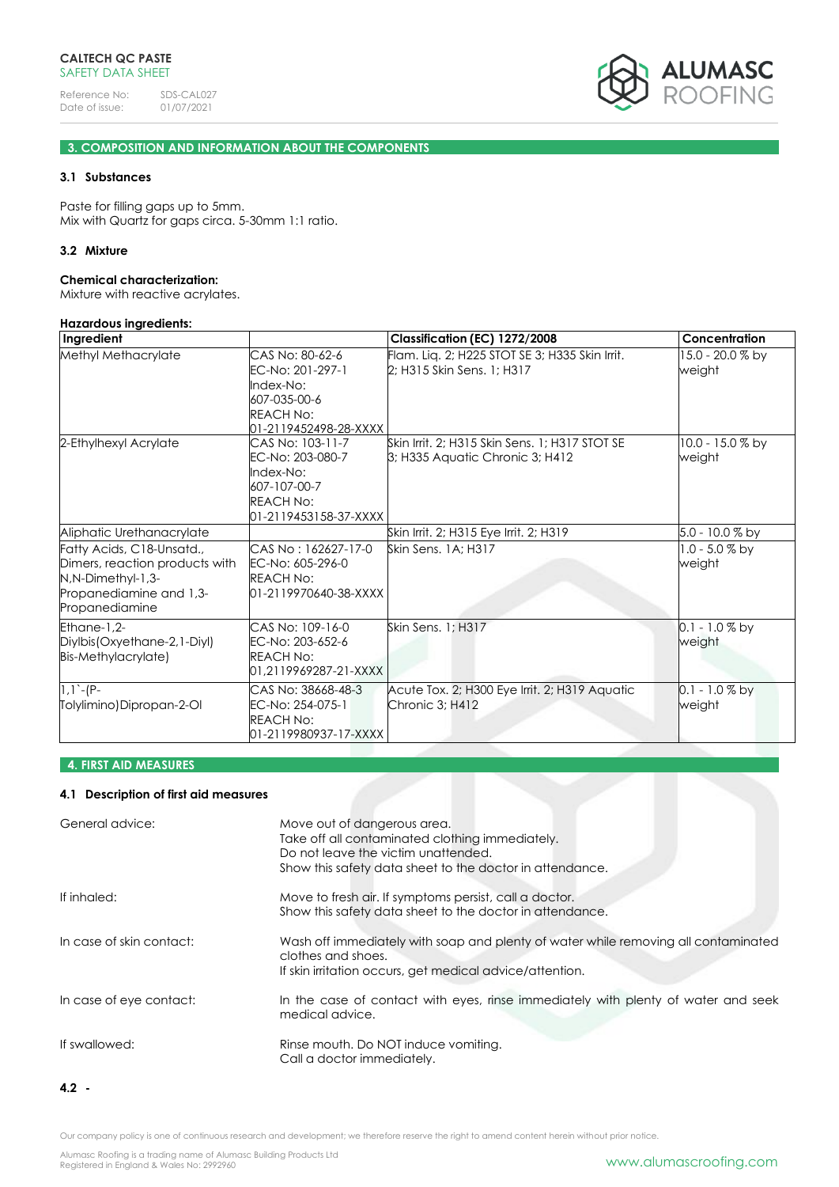

# **3. COMPOSITION AND INFORMATION ABOUT THE COMPONENTS**

#### **3.1 Substances**

Paste for filling gaps up to 5mm. Mix with Quartz for gaps circa. 5-30mm 1:1 ratio.

### **3.2 Mixture**

#### **Chemical characterization:**

Mixture with reactive acrylates.

#### **Hazardous ingredients: Ingredient Classification (EC) 1272/2008 Concentration** Methyl Methacrylate CAS No: 80-62-6 EC-No: 201-297-1 Index-No: 607-035-00-6 REACH No: <mark>01-2119452498-28-XXXX</mark><br>CAS No: 103-11-7 Flam. Liq. 2; H225 STOT SE 3; H335 Skin Irrit. 2; H315 Skin Sens. 1; H317 15.0 - 20.0 % by weight 2-Ethylhexyl Acrylate EC-No: 203-080-7 Index-No: 607-107-00-7 REACH No: 01-2119453158-37-XXXX Skin Irrit. 2; H315 Skin Sens. 1; H317 STOT SE 3; H335 Aquatic Chronic 3; H412 10.0 - 15.0 % by weight Aliphatic Urethanacrylate Skin Irrit. 2; H315 Eye Irrit. 2; H319 5.0 - 10.0 % by Fatty Acids, C18-Unsatd., weight Dimers, reaction products with N,N-Dimethyl-1,3- Propanediamine and 1,3- Propanediamine CAS No : 162627-17-0 EC-No: 605-296-0 REACH No: 01-2119970640-38-XXXX Skin Sens. 1A; H317 weight Ethane-1,2- Diylbis(Oxyethane-2,1-Diyl) Bis-Methylacrylate) CAS No: 109-16-0 EC-No: 203-652-6 REACH No: 01,2119969287-21-XXXX Skin Sens. 1; H317 0.1 - 1.0 % by weight 1,1`-(P-Tolylimino)Dipropan-2-Ol CAS No: 38668-48-3 EC-No: 254-075-1 REACH No: 01-2119980937-17-XXXX Acute Tox. 2; H300 Eye Irrit. 2; H319 Aquatic Chronic 3; H412 0.1 - 1.0 % by weight

# **4. FIRST AID MEASURES**

#### **4.1 Description of first aid measures**

| General advice:          | Move out of dangerous area.<br>Take off all contaminated clothing immediately.<br>Do not leave the victim unattended.<br>Show this safety data sheet to the doctor in attendance. |
|--------------------------|-----------------------------------------------------------------------------------------------------------------------------------------------------------------------------------|
| If inhaled:              | Move to fresh air. If symptoms persist, call a doctor.<br>Show this safety data sheet to the doctor in attendance.                                                                |
| In case of skin contact: | Wash off immediately with soap and plenty of water while removing all contaminated<br>clothes and shoes.<br>If skin irritation occurs, get medical advice/attention.              |
| In case of eye contact:  | In the case of contact with eyes, rinse immediately with plenty of water and seek<br>medical advice.                                                                              |
| If swallowed:            | Rinse mouth. Do NOT induce vomiting.<br>Call a doctor immediately.                                                                                                                |

**<sup>4.2</sup> -**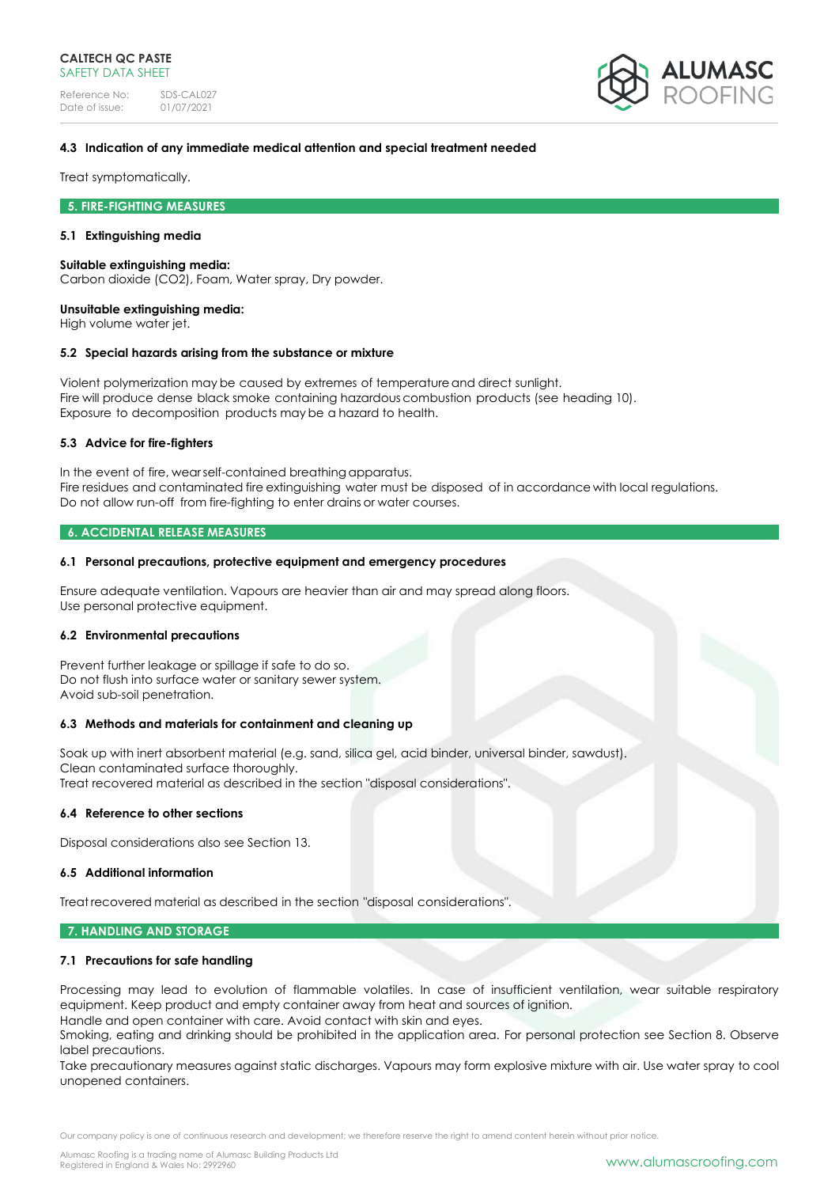Reference No: SDS-CAL027<br>Date of issue: 01/07/2021 Date of issue:



### **4.3 Indication of any immediate medical attention and special treatment needed**

Treat symptomatically.

#### **5. FIRE-FIGHTING MEASURES**

#### **5.1 Extinguishing media**

#### **Suitable extinguishing media:**

Carbon dioxide (CO2), Foam, Water spray, Dry powder.

#### **Unsuitable extinguishing media:**

High volume water jet.

### **5.2 Special hazards arising from the substance or mixture**

Violent polymerization may be caused by extremes of temperatureand direct sunlight. Fire will produce dense black smoke containing hazardous combustion products (see heading 10). Exposure to decomposition products may be a hazard to health.

#### **5.3 Advice for fire-fighters**

In the event of fire, wearself-contained breathing apparatus. Fire residues and contaminated fire extinguishing water must be disposed of in accordance with local regulations. Do not allow run-off from fire-fighting to enter drains or water courses.

### **6. ACCIDENTAL RELEASE MEASURES**

#### **6.1 Personal precautions, protective equipment and emergency procedures**

Ensure adequate ventilation. Vapours are heavier than air and may spread along floors. Use personal protective equipment.

#### **6.2 Environmental precautions**

Prevent further leakage or spillage if safe to do so. Do not flush into surface water or sanitary sewer system. Avoid sub-soil penetration.

#### **6.3 Methods and materials for containment and cleaning up**

Soak up with inert absorbent material (e.g. sand, silica gel, acid binder, universal binder, sawdust). Clean contaminated surface thoroughly. Treat recovered material as described in the section "disposal considerations".

### **6.4 Reference to other sections**

Disposal considerations also see Section 13.

### **6.5 Additional information**

Treat recovered material as described in the section "disposal considerations".

#### **7. HANDLING AND STORAGE**

### **7.1 Precautions for safe handling**

Processing may lead to evolution of flammable volatiles. In case of insufficient ventilation, wear suitable respiratory equipment. Keep product and empty container away from heat and sources of ignition.

Handle and open container with care. Avoid contact with skin and eyes.

Smoking, eating and drinking should be prohibited in the application area. For personal protection see Section 8. Observe label precautions.

Take precautionary measures against static discharges. Vapours may form explosive mixture with air. Use water spray to cool unopened containers.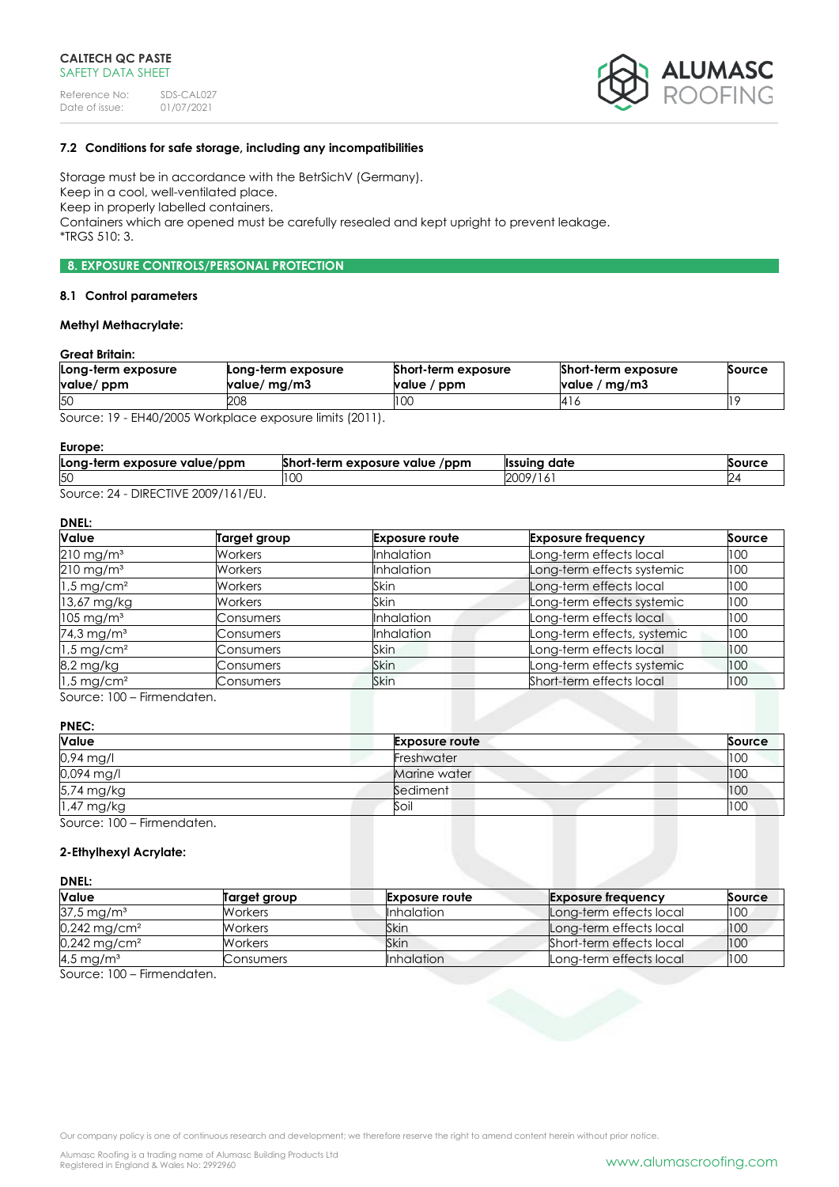

### **7.2 Conditions for safe storage, including any incompatibilities**

Storage must be in accordance with the BetrSichV (Germany). Keep in a cool, well-ventilated place. Keep in properly labelled containers. Containers which are opened must be carefully resealed and kept upright to prevent leakage. \*TRGS 510: 3.

### **8. EXPOSURE CONTROLS/PERSONAL PROTECTION**

#### **8.1 Control parameters**

### **Methyl Methacrylate:**

### **Great Britain:**

| Long-term exposure<br>value/ ppm | Long-term exposure<br>value/ mg/m3 | Short-term exposure<br>value / ppm | Short-term exposure<br>value / $mg/m3$ | Source |
|----------------------------------|------------------------------------|------------------------------------|----------------------------------------|--------|
| 50                               | 208                                | 100                                | 14 I G                                 |        |
| $\sim$                           | $1!$ $1!$ $1!$ $1!$ $1!$ $1!$ $1!$ |                                    |                                        |        |

Source: 19 - EH40/2005 Workplace exposure limits (2011).

#### **Europe:**

| Long-term exposure value/ppm | Short-term exposure value<br>/ppm | <sup>.</sup> date<br><b>Ilssuina</b> | Source |
|------------------------------|-----------------------------------|--------------------------------------|--------|
| 50                           | LU.                               | 2009<br>19/<br>.                     |        |
| DIDFOTIVIF                   |                                   |                                      |        |

Source: 24 - DIRECTIVE 2009/161/EU.

# **DNEL:**

| Value                    | Target group   | <b>Exposure route</b> | <b>Exposure frequency</b>   | Source |
|--------------------------|----------------|-----------------------|-----------------------------|--------|
| $210$ mg/m <sup>3</sup>  | Workers        | <b>Inhalation</b>     | Long-term effects local     | 100    |
| $210$ mg/m <sup>3</sup>  | Workers        | <b>Inhalation</b>     | Long-term effects systemic  | 100    |
| $1.5 \,\mathrm{mg/cm^2}$ | <b>Workers</b> | Skin                  | Long-term effects local     | 100    |
| 13,67 mg/kg              | Workers        | Skin                  | Long-term effects systemic  | 100    |
| $105 \text{ mg/m}^3$     | Consumers      | <b>Inhalation</b>     | Long-term effects local     | 100    |
| 74,3 mg/m <sup>3</sup>   | Consumers      | Inhalation            | Long-term effects, systemic | 100    |
| $1.5 \,\mathrm{mg/cm^2}$ | Consumers      | Skin                  | Long-term effects local     | 100    |
| 8,2 mg/kg                | Consumers      | Skin                  | Long-term effects systemic  | 100    |
| $1.5$ mg/cm <sup>2</sup> | Consumers      | <b>Skin</b>           | Short-term effects local    | 100    |

Source: 100 – Firmendaten.

### **PNEC:**

| Value                      | <b>Exposure route</b> | Source |
|----------------------------|-----------------------|--------|
| 0,94 mg/l                  | Freshwater            | 100    |
| 0,094 mg/l                 | Marine water          | 100    |
| 5,74 mg/kg                 | Sediment              | 100    |
| 1,47 mg/kg                 | Soil                  | 100    |
| Source: 100 - Firmendaten. |                       |        |

### **2-Ethylhexyl Acrylate:**

### **DNEL:**

| Value                      | Target group   | <b>Exposure route</b> | <b>Exposure frequency</b> | Source |
|----------------------------|----------------|-----------------------|---------------------------|--------|
| $37.5 \,\mathrm{mg/m^3}$   | <b>Workers</b> | <b>Inhalation</b>     | Long-term effects local   | 100    |
| $0,242$ mg/cm <sup>2</sup> | Workers        | Skin                  | Long-term effects local   | 100    |
| $0,242 \,\mathrm{mg/cm^2}$ | Workers        | Skin                  | Short-term effects local  | 100    |
| $4.5 \,\mathrm{mg/m^3}$    | Consumers      | <b>Inhalation</b>     | Long-term effects local   | 100    |

Source: 100 – Firmendaten.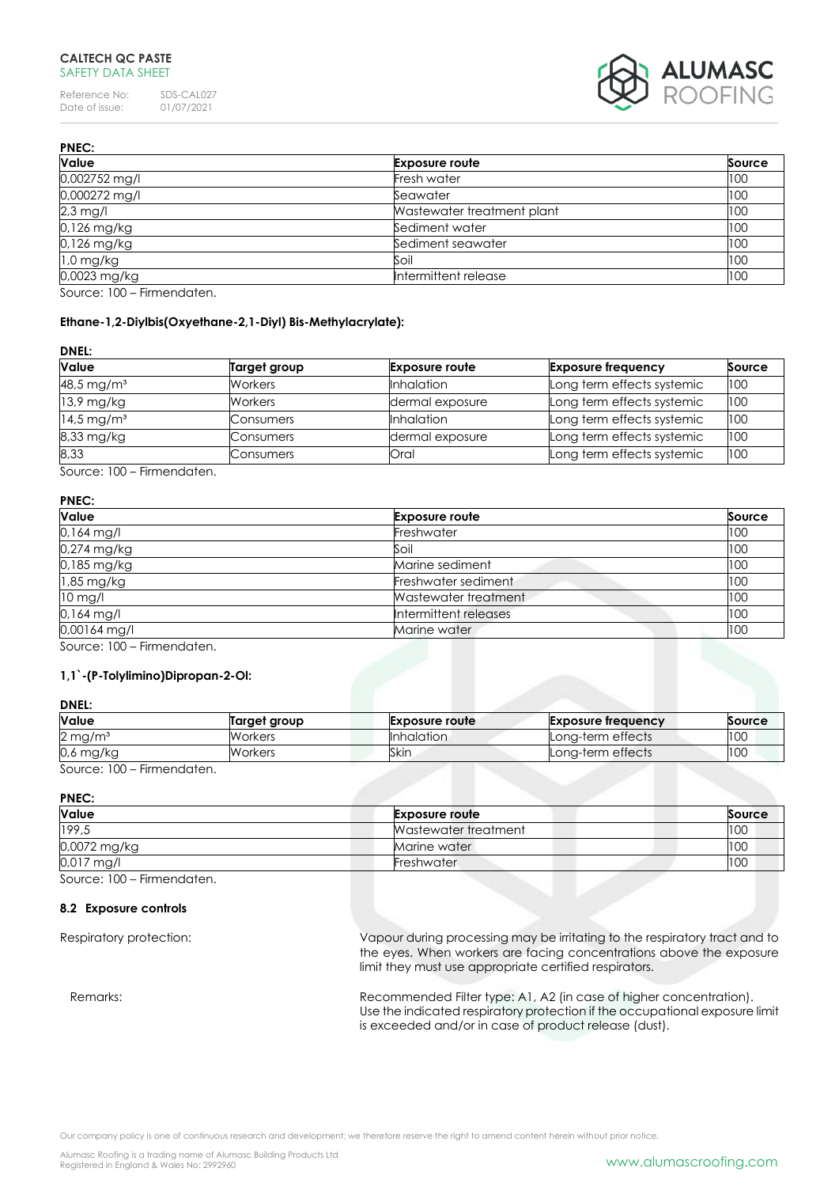Reference No: SDS-CAL027<br>Date of issue: 01/07/2021 Date of issue:



| <b>PNEC:</b>                            |                            |        |  |
|-----------------------------------------|----------------------------|--------|--|
| <b>Value</b>                            | <b>Exposure route</b>      | Source |  |
| 0,002752 mg/l                           | Fresh water                | 100    |  |
| 0,000272 mg/l                           | Seawater                   | 100    |  |
| 2,3 mg/l                                | Wastewater treatment plant | 100    |  |
| 0,126 mg/kg                             | Sediment water             | 100    |  |
| 0,126 mg/kg                             | Sediment seawater          | 100    |  |
| $1,0$ mg/kg                             | Soil                       | 100    |  |
| 0,0023 mg/kg                            | Intermittent release       | 100    |  |
| $C_{\text{max}} = 100$ Figure and other |                            |        |  |

Source: 100 – Firmendaten.

# **Ethane-1,2-Diylbis(Oxyethane-2,1-Diyl) Bis-Methylacrylate):**

### **DNEL:**

| <b>Value</b>             | Target group   | <b>Exposure route</b> | <b>Exposure frequency</b>  | Source |
|--------------------------|----------------|-----------------------|----------------------------|--------|
| 48,5 mg/m <sup>3</sup>   | <b>Workers</b> | <b>Inhalation</b>     | Long term effects systemic | 100    |
| 13,9 mg/kg               | Workers        | dermal exposure       | Long term effects systemic | 100    |
| $14.5 \,\mathrm{mg/m^3}$ | Consumers      | <b>Inhalation</b>     | Long term effects systemic | 100    |
| 8,33 mg/kg               | Consumers      | dermal exposure       | Long term effects systemic | 100    |
| 8,33                     | Consumers      | Oral                  | Long term effects systemic | 100    |

Source: 100 – Firmendaten.

# **PNEC:**

| <b>Value</b> | <b>Exposure route</b> | Source |
|--------------|-----------------------|--------|
| 0,164 mg/l   | Freshwater            | 100    |
| 0,274 mg/kg  | Soil                  | 100    |
| 0,185 mg/kg  | Marine sediment       | 100    |
| 1,85 mg/kg   | Freshwater sediment   | 100    |
| $10$ mg/l    | Wastewater treatment  | 100    |
| 0,164 mg/l   | Intermittent releases | 100    |
| 0,00164 mg/l | Marine water          | 100    |

Source: 100 – Firmendaten.

### **1,1`-(P-Tolylimino)Dipropan-2-Ol:**

### **DNEL:**

| Value                            | Target group   | <b>Exposure route</b> | <b>Exposure frequency</b> | Source |
|----------------------------------|----------------|-----------------------|---------------------------|--------|
| $2 \,\mathrm{mg/m^3}$            | <b>Workers</b> | Inhalation            | Long-term effects         | 100    |
| 0,6 mg/kg                        | Workers        | Skin                  | Long-term effects         | 100    |
| 0.100<br>Electric contractors of |                |                       |                           |        |

Source: 100 – Firmendaten.

**PNEC:**

| <b>Value</b>                    | <b>Exposure route</b> | Source |
|---------------------------------|-----------------------|--------|
| 199,5                           | Wastewater treatment  | 100    |
| 0,0072 mg/kg                    | Marine water          | 100    |
| 0,017 mg/l                      | Freshwater            | 100    |
| $0.100$ $0.100$ $0.100$ $0.100$ |                       |        |

Source: 100 – Firmendaten.

#### **8.2 Exposure controls**

Respiratory protection: Vapour during processing may be irritating to the respiratory tract and to the eyes. When workers are facing concentrations above the exposure limit they must use appropriate certified respirators.

Remarks: Remarks: Recommended Filter type: A1, A2 (in case of higher concentration). Use the indicated respiratory protection if the occupational exposure limit is exceeded and/or in case of product release (dust).

Our company policy is one of continuous research and development; we therefore reserve the right to amend content herein without prior notice.

Alumasc Roofing is a trading name of Alumasc Building Products Ltd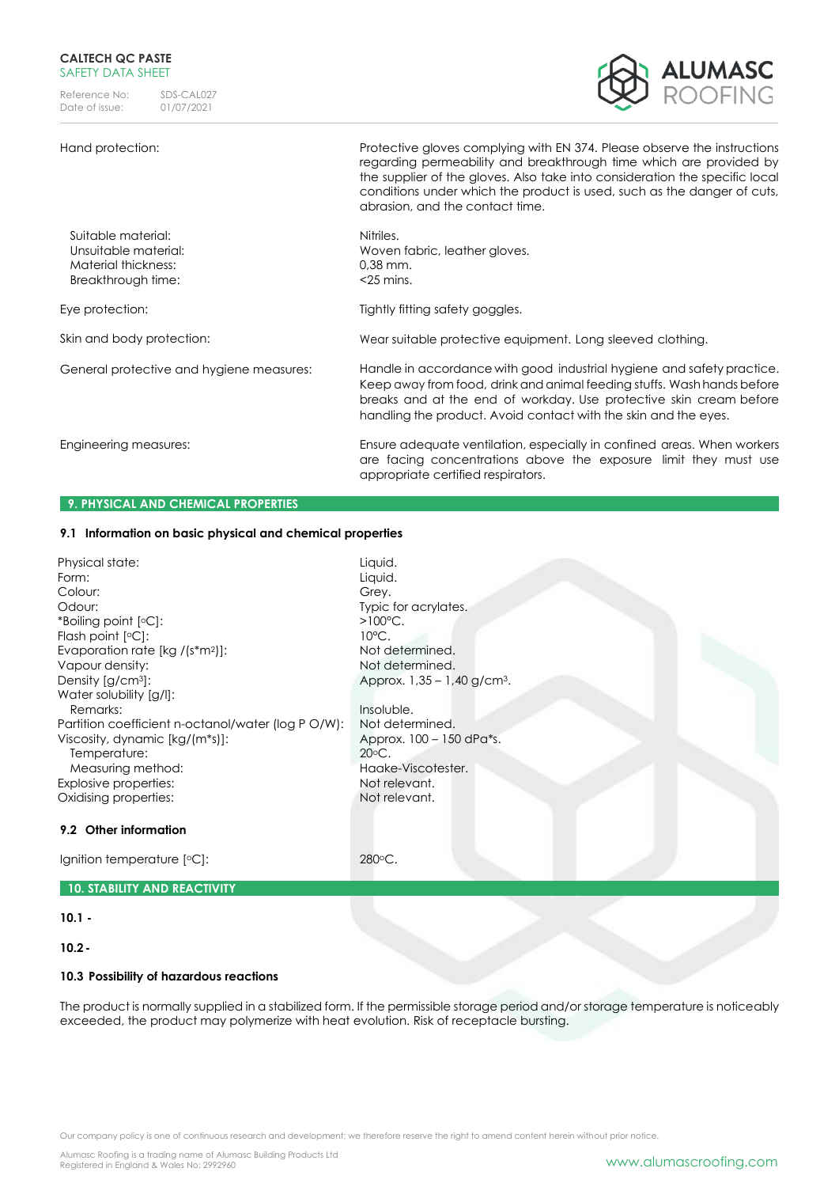Reference No: SDS-CAL027<br>Date of issue: 01/07/2021 Date of issue:

### Hand protection: Protective gloves complying with EN 374. Please observe the instructions



|                                                                                         | regarding permeability and breakthrough time which are provided by<br>the supplier of the gloves. Also take into consideration the specific local<br>conditions under which the product is used, such as the danger of cuts,<br>abrasion, and the contact time.                            |
|-----------------------------------------------------------------------------------------|--------------------------------------------------------------------------------------------------------------------------------------------------------------------------------------------------------------------------------------------------------------------------------------------|
| Suitable material:<br>Unsuitable material:<br>Material thickness:<br>Breakthrough time: | Nitriles.<br>Woven fabric, leather gloves.<br>$0.38$ mm.<br>$<$ 25 mins.                                                                                                                                                                                                                   |
| Eye protection:                                                                         | Tightly fitting safety goggles.                                                                                                                                                                                                                                                            |
| Skin and body protection:                                                               | Wear suitable protective equipment. Long sleeved clothing.                                                                                                                                                                                                                                 |
| General protective and hygiene measures:                                                | Handle in accordance with good industrial hygiene and safety practice.<br>Keep away from food, drink and animal feeding stuffs. Wash hands before<br>breaks and at the end of workday. Use protective skin cream before<br>handling the product. Avoid contact with the skin and the eyes. |
| Engineering measures:                                                                   | Ensure adequate ventilation, especially in confined areas. When workers<br>are facing concentrations above the exposure limit they must use<br>appropriate certified respirators.                                                                                                          |
| <b>9. PHYSICAL AND CHEMICAL PROPERTIES</b>                                              |                                                                                                                                                                                                                                                                                            |

# **9.1 Information on basic physical and chemical properties**

| Physical state:                                    | Liquid.                  |
|----------------------------------------------------|--------------------------|
| Form:                                              | Liquid.                  |
| Colour:                                            | Grey.                    |
| Odour:                                             | Typic for acrylates.     |
| *Boiling point [°C]:                               | $>100^{\circ}$ C.        |
| Flash point $[°C]$ :                               | $10^{\circ}$ C.          |
| Evaporation rate [kg /(s*m <sup>2</sup> )]:        | Not determined.          |
| Vapour density:                                    | Not determined.          |
| Density $\left[\frac{q}{cm^3}\right]$ :            | Approx. 1,35 - 1,40 g/cm |
| Water solubility [g/l]:                            |                          |
| Remarks:                                           | Insoluble.               |
| Partition coefficient n-octanol/water (log P O/W): | Not determined.          |
| Viscosity, dynamic [kg/(m*s)]:                     | Approx. 100 - 150 dPa*s. |
| Temperature:                                       | $20^{\circ}$ C.          |
| Measuring method:                                  | Haake-Viscotester.       |
| Explosive properties:                              | Not relevant.            |
| Oxidising properties:                              | Not relevant.            |

### **9.2 Other information**

Ignition temperature [°C]: 280°C.

# **10. STABILITY AND REACTIVITY**

### **10.1 -**

**10.2-**

### **10.3 Possibility of hazardous reactions**

The product is normally supplied in a stabilized form. If the permissible storage period and/or storage temperature is noticeably exceeded, the product may polymerize with heat evolution. Risk of receptacle bursting.

 $-1,40$  g/cm<sup>3</sup>.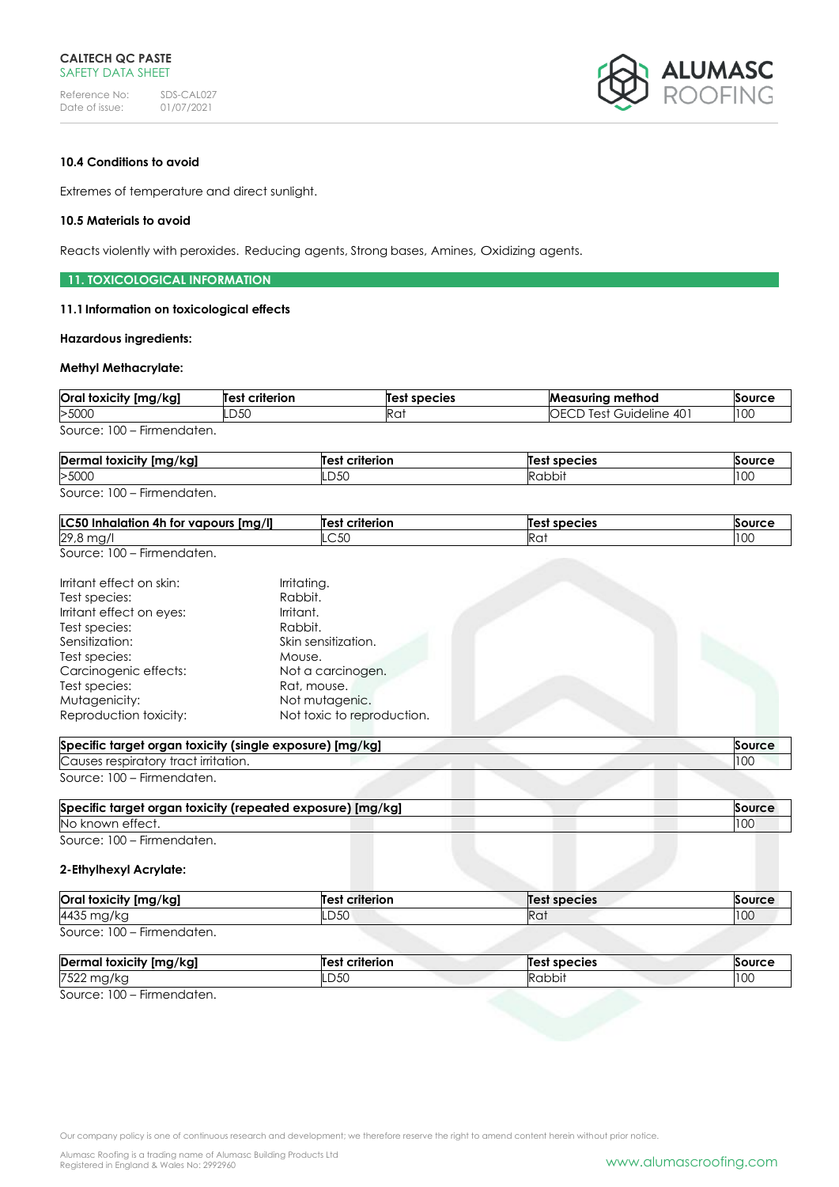

### **10.4 Conditions to avoid**

Extremes of temperature and direct sunlight.

### **10.5 Materials to avoid**

Reacts violently with peroxides. Reducing agents, Strong bases, Amines, Oxidizing agents.

### **11. TOXICOLOGICAL INFORMATION**

#### **11.1Information on toxicological effects**

#### **Hazardous ingredients:**

#### **Methyl Methacrylate:**

| Oral toxicity [mg/kg]                                   | <b>Test criterion</b> | Test species | <b>Measuring method</b>        | Source |
|---------------------------------------------------------|-----------------------|--------------|--------------------------------|--------|
| >5000                                                   | LD50                  | IRai         | <b>OECD Test Guideline 401</b> | 100    |
| Source: 100<br>Firmendaten.<br>$\overline{\phantom{0}}$ |                       |              |                                |        |

| Dermal toxicity [mg/kg]    | Test criterion | Test species | Source |
|----------------------------|----------------|--------------|--------|
| >5000                      | LD50           | Rabbit       | 100    |
| Source: 100 – Firmendaten. |                |              |        |

| [mg/l]<br>IC50<br>∴halation 4.<br>' vapours<br>4r<br>. TOT | Test<br>criterion | Тае<br>' species | .   |
|------------------------------------------------------------|-------------------|------------------|-----|
| 29,8<br>$\sim$                                             | ∟∪∪               | $D \sim$<br>NU   | 100 |

Source: 100 – Firmendaten.

| Irritant effect on skin: | Irritating.                |  |
|--------------------------|----------------------------|--|
|                          |                            |  |
| Test species:            | Rabbit.                    |  |
| Irritant effect on eyes: | Irritant.                  |  |
| Test species:            | Rabbit.                    |  |
| Sensitization:           | Skin sensitization.        |  |
| Test species:            | Mouse.                     |  |
| Carcinogenic effects:    | Not a carcinogen.          |  |
| Test species:            | Rat, mouse.                |  |
| Mutagenicity:            | Not mutagenic.             |  |
| Reproduction toxicity:   | Not toxic to reproduction. |  |
|                          |                            |  |

| Specific target organ toxicity (single exposure) [mg/kg] | Source          |
|----------------------------------------------------------|-----------------|
| Causes respiratory tract irritation.                     | 10 <sup>c</sup> |
| Source: 100 – Firmendaten.                               |                 |

| Specific target organ toxicity (repeated exposure) [mg/kg] |  |
|------------------------------------------------------------|--|
| No known effect.                                           |  |
|                                                            |  |

Source: 100 – Firmendaten.

## **2-Ethylhexyl Acrylate:**

| Oral toxicity [mg/kg]      | Test criterion | Test species | Source |
|----------------------------|----------------|--------------|--------|
| 4435 mg/kg                 | LD50           | Rat          | 100    |
| Source: 100 – Firmendaten. |                |              |        |

| Dermal toxicity [mg/kg]   | <b>Test criterion</b> | Test species | Source |
|---------------------------|-----------------------|--------------|--------|
| 7522 1<br>! mg/kg         | LD50                  | Rabbit       | 100    |
| Source: 100 - Firmandatan |                       |              |        |

Source: 100 – Firmendaten.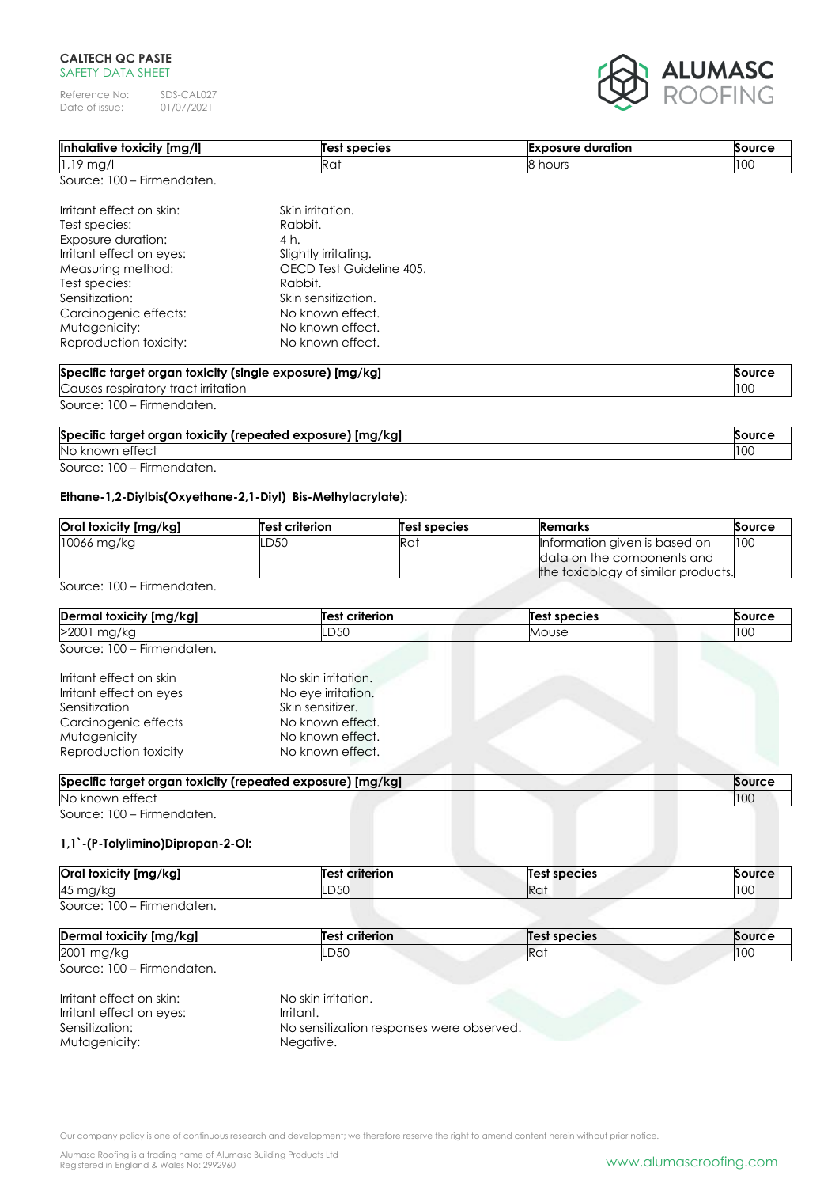Reference No: SDS-CAL027<br>Date of issue: 01/07/2021 Date of issue:



| Inhalative toxicity [mg/l]                                                     | <b>Test species</b>      | <b>Exposure duration</b> | <b>Source</b> |
|--------------------------------------------------------------------------------|--------------------------|--------------------------|---------------|
| $1.19$ mg/l                                                                    | Rat                      | 8 hours                  | 100           |
| Source: 100 - Firmendaten.                                                     |                          |                          |               |
| Irritant effect on skin:                                                       | Skin irritation.         |                          |               |
| Test species:                                                                  | Rabbit.                  |                          |               |
| Exposure duration:                                                             | 4 h.                     |                          |               |
| Irritant effect on eyes:                                                       | Slightly irritating.     |                          |               |
| Measuring method:                                                              | OECD Test Guideline 405. |                          |               |
| Test species:                                                                  | Rabbit.                  |                          |               |
| Sensitization:                                                                 | Skin sensitization.      |                          |               |
| Carcinogenic effects:                                                          | No known effect.         |                          |               |
| Mutagenicity:                                                                  | No known effect.         |                          |               |
| Reproduction toxicity:                                                         | No known effect.         |                          |               |
| Back of the Louis of Louis and London Line and Assembly account to the selling |                          |                          |               |

| <b>Specific</b><br>[mg/kg]<br>' oraan toxicitv<br>(single exposure) }<br>taraet |      |
|---------------------------------------------------------------------------------|------|
| Causes<br>' irritation<br>trac.<br>$-$ soir $\sim$<br>י∩רי                      | 1100 |
| <b>Contract Contract Contract Contract</b>                                      |      |

Source: 100 – Firmendaten.

| Specific target organ toxicity (repeated exposure) [mg/kg] | Source |
|------------------------------------------------------------|--------|
| No known effect                                            | 100    |
| Source: 100 – Firmendaten.                                 |        |

### **Ethane-1,2-Diylbis(Oxyethane-2,1-Diyl) Bis-Methylacrylate):**

| Oral toxicity [mg/kg] | <b>Test criterion</b> | Test species | Remarks                             | Source |
|-----------------------|-----------------------|--------------|-------------------------------------|--------|
| $10066$ mg/kg         | LD50                  | Rat          | Information given is based on       | 100    |
|                       |                       |              | data on the components and          |        |
|                       |                       |              | the toxicology of similar products. |        |

Source: 100 – Firmendaten.

| Dermal toxicity [mg/kg]    | <b>Test criterion</b> | Test species | Source |
|----------------------------|-----------------------|--------------|--------|
| >2001 mg/kg                | LD50                  | Mouse        | 100    |
| Source: 100 – Firmendaten. |                       |              |        |

| Irritant effect on skin | No skin irritation. |  |
|-------------------------|---------------------|--|
| Irritant effect on eyes | No eye irritation.  |  |
| Sensitization           | Skin sensitizer.    |  |
| Carcinogenic effects    | No known effect.    |  |
| Mutagenicity            | No known effect.    |  |
| Reproduction toxicity   | No known effect.    |  |
|                         |                     |  |

| No known           | [mg/kg]<br>target organ toxicity (repeated exposure) |
|--------------------|------------------------------------------------------|
| , ettect<br>$\sim$ |                                                      |

Source: 100 – Firmendaten.

### **1,1`-(P-Tolylimino)Dipropan-2-Ol:**

| Oral toxicity [mg/kg]      | <b>Test criterion</b> | <b>Test species</b> | Source |
|----------------------------|-----------------------|---------------------|--------|
| 45 mg/kg                   | LD50                  | Ra <sup>-</sup>     | 100    |
| Source: 100 - Firmendaten. |                       |                     |        |

| Dermal toxicity [mg/kg]<br>Test     | criterion | <b>Test species</b> | Source |
|-------------------------------------|-----------|---------------------|--------|
| 2001<br>LD50<br>$\mathbf{1}$<br>ma, |           | Rai                 | טעו    |

Source: 100 – Firmendaten.

| Irritant effect on skin: | No skin irritation.                       |
|--------------------------|-------------------------------------------|
| Irritant effect on eves: | Irritant.                                 |
| Sensitization:           | No sensitization responses were observed. |
| Mutagenicity:            | Negative.                                 |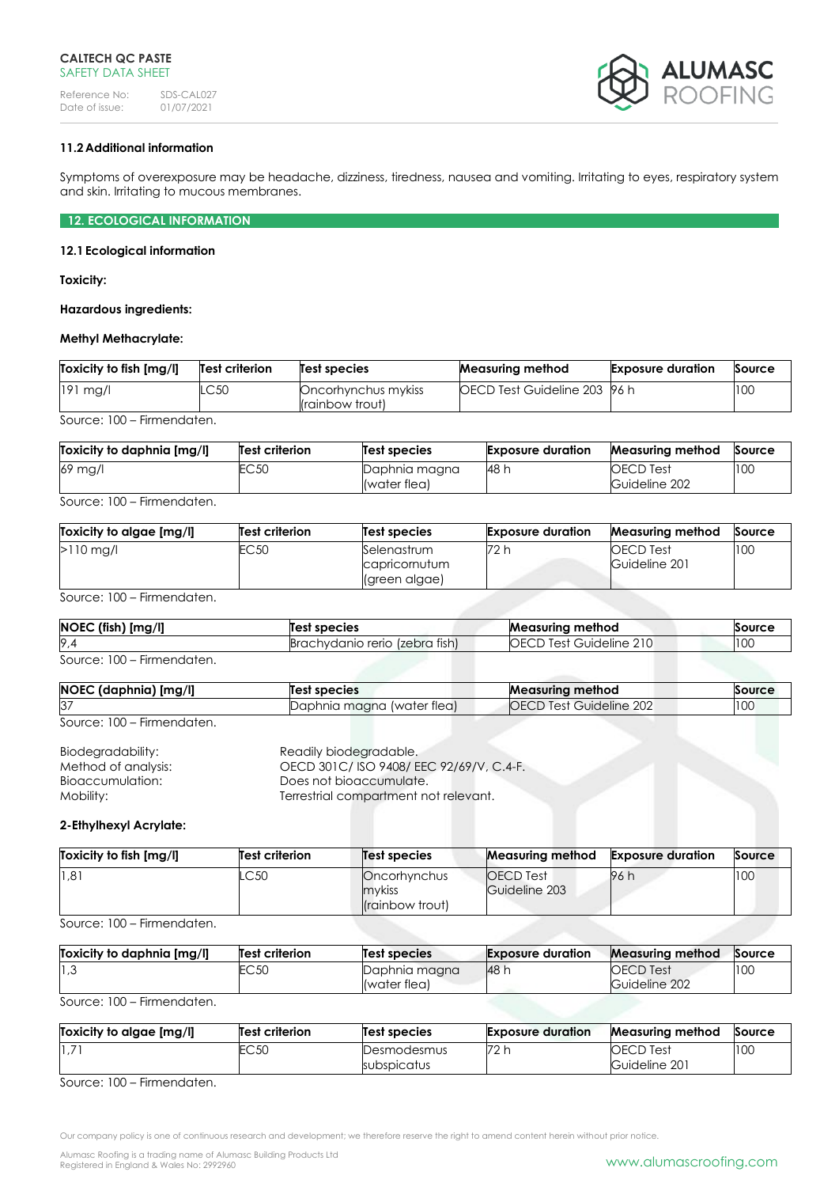

# **11.2Additional information**

Symptoms of overexposure may be headache, dizziness, tiredness, nausea and vomiting. Irritating to eyes, respiratory system and skin. Irritating to mucous membranes.

**12. ECOLOGICAL INFORMATION**

#### **12.1Ecological information**

**Toxicity:**

**Hazardous ingredients:**

### **Methyl Methacrylate:**

| Toxicity to fish [mg/l] | Test criterion | Test species                           | <b>Measuring method</b>              | <b>Exposure duration</b> | Source |
|-------------------------|----------------|----------------------------------------|--------------------------------------|--------------------------|--------|
| $191$ mg/l              | LC50           | Oncorhynchus mykiss<br>(rainbow trout) | <b>IOECD Test Guideline 203 96 h</b> |                          | 100    |

Source: 100 – Firmendaten.

| Toxicity to daphnia [mg/l] | Test criterion   | Test species                  | <b>Exposure duration</b> | <b>Measuring method</b>           | Source |
|----------------------------|------------------|-------------------------------|--------------------------|-----------------------------------|--------|
| 69 mg/l                    | EC <sub>50</sub> | Daphnia magna<br>(water flea) | 48 h                     | <b>OECD</b> Test<br>Guideline 202 | 100    |

Source: 100 – Firmendaten.

| Toxicity to algae [mg/l] | Test criterion | Test species                                  | <b>Exposure duration</b> | <b>Measuring method</b>           | Source |
|--------------------------|----------------|-----------------------------------------------|--------------------------|-----------------------------------|--------|
| $>110$ mg/l              | EC 50          | Selenastrum<br>capricornutum<br>(green algae) | 72 h                     | <b>OECD Test</b><br>Guideline 201 | 100    |

Source: 100 – Firmendaten.

| [mg/l]<br><b>NOEC</b><br>fish) | Test species                                          | <b>Measurina</b><br>⊧method         | Source |
|--------------------------------|-------------------------------------------------------|-------------------------------------|--------|
| 9.4                            | tish)<br><i>(zebra</i><br>nvdanio rerio<br>Rr∩<br>nvo | 210<br>uideline<br>$. \sim$<br>باحب | 100    |
| $-$<br>$\sim$<br>$\sim$        |                                                       |                                     |        |

Source: 100 – Firmendaten.

| ) [mg/l]<br><b>NOEC</b><br>. (daphnia) | species                                        | Measurina method                                | Source |
|----------------------------------------|------------------------------------------------|-------------------------------------------------|--------|
| <b>P</b><br>,כ                         | $\cdots$<br>(water flea)<br>maana<br>Daphnia r | Guideline 202<br>OE<br>$.1 \triangle C^+$<br>55 | 100    |

Source: 100 – Firmendaten.

| Biodegradability:   | Readily biodegradable.                 |
|---------------------|----------------------------------------|
| Method of analysis: | OECD 301C/ISO 9408/EEC 92/69/V, C.4-F. |
| Bioaccumulation:    | Does not bioaccumulate.                |
| Mobility:           | Terrestrial compartment not relevant.  |

### **2-Ethylhexyl Acrylate:**

| Toxicity to fish [mg/l] | Test criterion | Test species                                             | <b>Measuring method</b>           | <b>Exposure duration</b> | Source |
|-------------------------|----------------|----------------------------------------------------------|-----------------------------------|--------------------------|--------|
| 1,81                    | .C50           | <b>Oncorhynchus</b><br>mykiss<br><i>I</i> rainbow trout) | <b>OECD</b> Test<br>Guideline 203 | 96 h                     | 100    |

Source: 100 – Firmendaten.

| Toxicity to daphnia [mg/l] | Test criterion   | Test species                  | <b>Exposure duration</b> | <b>Measuring method</b>           | Source |
|----------------------------|------------------|-------------------------------|--------------------------|-----------------------------------|--------|
| 3, 1                       | EC <sub>50</sub> | Daphnia magna<br>(water flea) | 48 h                     | <b>OECD</b> Test<br>Guideline 202 | 100    |

Source: 100 – Firmendaten.

| Toxicity to algae [mg/l] | Test criterion | Test species               | <b>Exposure duration</b> | <b>Measuring method</b>           | Source |
|--------------------------|----------------|----------------------------|--------------------------|-----------------------------------|--------|
|                          | EC 50          | Desmodesmus<br>subspicatus | <b>72</b> L              | <b>OECD</b> Test<br>Guideline 201 | 100    |

Source: 100 – Firmendaten.

Our company policy is one of continuous research and development; we therefore reserve the right to amend content herein without prior notice.

Alumasc Roofing is a trading name of Alumasc Building Products Ltd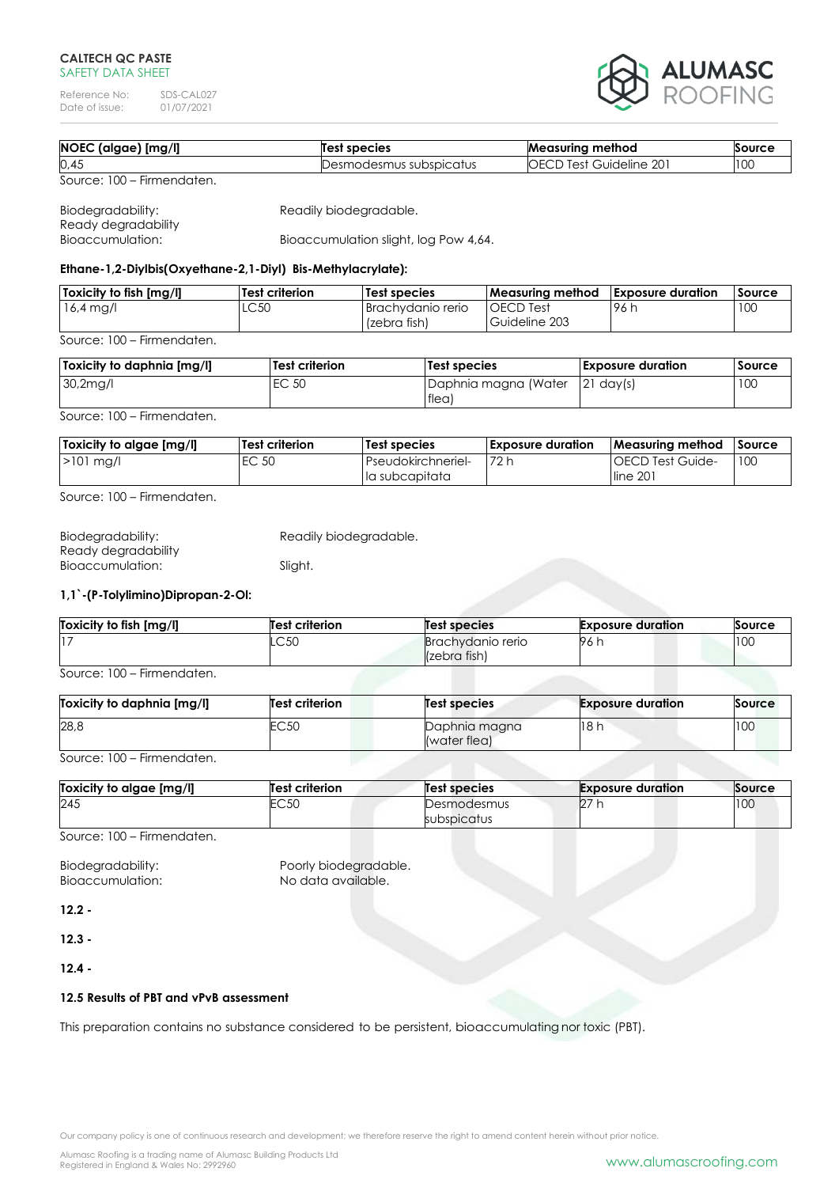Reference No: SDS-CAL027<br>Date of issue: 01/07/2021 Date of issue:



| NOEC (algae) [mg/l]        | Test species            | <b>Measuring method</b>        | Source |
|----------------------------|-------------------------|--------------------------------|--------|
| 0,45                       | Desmodesmus subspicatus | <b>OECD Test Guideline 201</b> | 100    |
| Source: 100 – Firmendaten. |                         |                                |        |

| Biodegradability:   | Readily biodegradable.                |
|---------------------|---------------------------------------|
| Ready degradability |                                       |
| Bioaccumulation:    | Bioaccumulation slight, log Pow 4,64. |

### **Ethane-1,2-Diylbis(Oxyethane-2,1-Diyl) Bis-Methylacrylate):**

| <b>Toxicity to fish Ima/II</b> | Test criterion | Test species        | l Measurina method | <b>Exposure duration</b> | Source |
|--------------------------------|----------------|---------------------|--------------------|--------------------------|--------|
| $16,4 \,\mathrm{mag/l}$        | LC50           | I Brachvdanio rerio | <b>OECD</b> Test   | .96 h                    | 10C    |
|                                |                | (zebra fish)        | Guideline 203      |                          |        |
| Source: 100 – Firmendaten.     |                |                     |                    |                          |        |

| Toxicity to daphnia [mg/l] | <b>Test criterion</b> | Test species         | <b>Exposure duration</b> | Source |
|----------------------------|-----------------------|----------------------|--------------------------|--------|
| 30,2 <sub>mg</sub>         | EC 50                 | Daphnia magna (Water | $ 21 \text{ days} $      | 10C    |
|                            |                       | <b>Iflea</b>         |                          |        |

Source: 100 – Firmendaten.

| Toxicity to algae [mg/l] | Test criterion | Test species              | <b>Exposure duration</b> | Measuring method         | <b>Source</b> |
|--------------------------|----------------|---------------------------|--------------------------|--------------------------|---------------|
| $>101$ mg/l              | EC 50          | <b>Pseudokirchneriel-</b> | 72 h                     | <b>IOECD Test Guide-</b> | 10C           |
|                          |                | lla subcapitata           |                          | line 201                 |               |

Source: 100 – Firmendaten.

| Biodegradability:   | Readily biodegradable. |
|---------------------|------------------------|
| Ready degradability |                        |
| Bioaccumulation:    | Sliaht.                |

# **1,1`-(P-Tolylimino)Dipropan-2-Ol:**

| Toxicity to fish [mg/l] | <b>Test criterion</b> | Test species                             | <b>Exposure duration</b> | Source |
|-------------------------|-----------------------|------------------------------------------|--------------------------|--------|
|                         | LC50                  | <b>Brachvdanio rerio</b><br>(zebra fish) | 96 i                     | 100    |

Source: 100 – Firmendaten.

| Toxicity to daphnia [mg/l] | Test criterion | Test species                  | <b>Exposure duration</b> | Source |
|----------------------------|----------------|-------------------------------|--------------------------|--------|
| 28,8                       | EC50           | Daphnia magna<br>(water flea) | 18 h                     | 100    |

Source: 100 – Firmendaten.

| Toxicity to algae [mg/l] | <b>Test criterion</b> | <b>Test species</b>        | <b>Exposure duration</b> | Source |
|--------------------------|-----------------------|----------------------------|--------------------------|--------|
| 245                      | EC50                  | Desmodesmus<br>subspicatus | $\sim$<br>∠              | 100    |

Source: 100 – Firmendaten.

Biodegradability: Poorly biodegradable.<br>Bioaccumulation: No data available. Bioaccumulation:

**12.2 -**

**12.3 -**

**12.4 -**

### **12.5 Results of PBT and vPvB assessment**

This preparation contains no substance considered to be persistent, bioaccumulating nor toxic (PBT).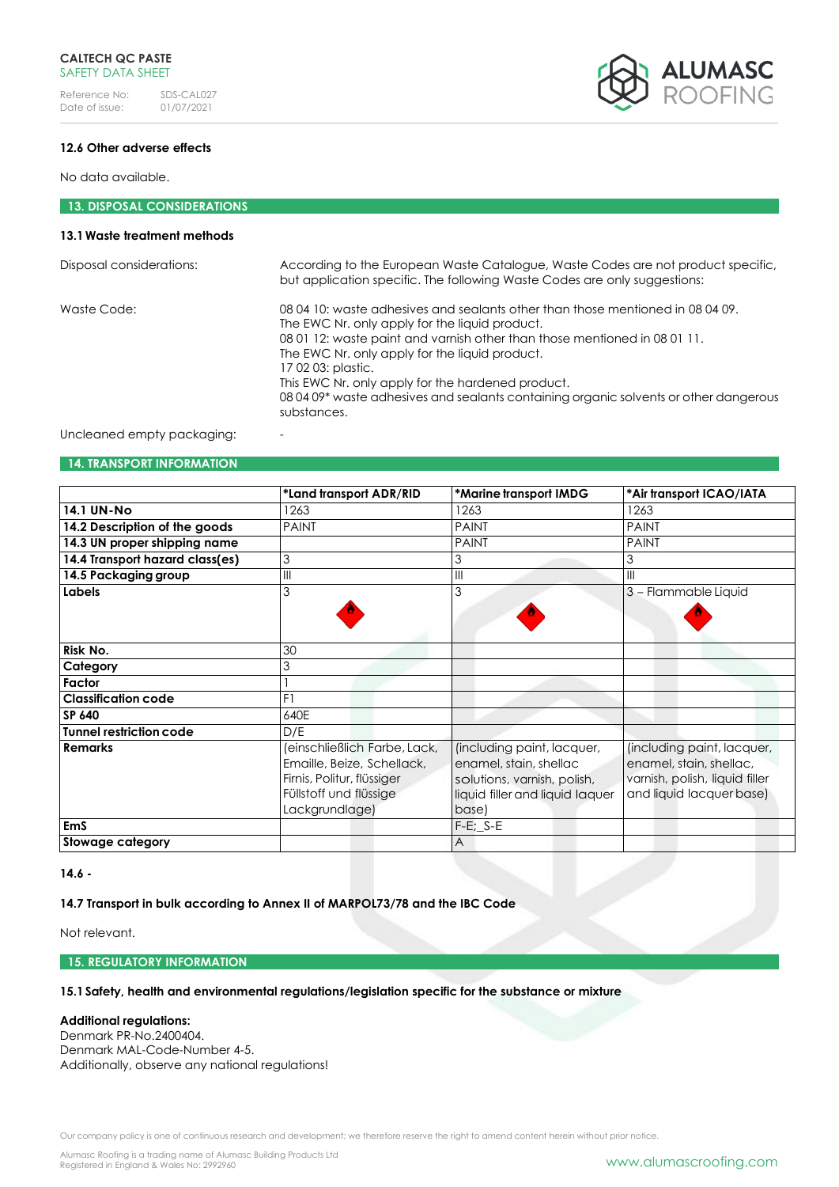

### **12.6 Other adverse effects**

No data available.

# **13. DISPOSAL CONSIDERATIONS**

### **13.1Waste treatment methods**

| Disposal considerations:   | According to the European Waste Catalogue, Waste Codes are not product specific,<br>but application specific. The following Waste Codes are only suggestions:                                                                                                                                                                                                                                                                                      |
|----------------------------|----------------------------------------------------------------------------------------------------------------------------------------------------------------------------------------------------------------------------------------------------------------------------------------------------------------------------------------------------------------------------------------------------------------------------------------------------|
| Waste Code:                | 08 04 10: waste adhesives and sealants other than those mentioned in 08 04 09.<br>The EWC Nr. only apply for the liquid product.<br>08 01 12: waste paint and varnish other than those mentioned in 08 01 11.<br>The EWC Nr. only apply for the liquid product.<br>17 02 03: plastic.<br>This EWC Nr. only apply for the hardened product.<br>08 04 09* waste adhesives and sealants containing organic solvents or other dangerous<br>substances. |
| Uncleaned empty packaging: |                                                                                                                                                                                                                                                                                                                                                                                                                                                    |

#### **14. TRANSPORT INFORMATION**

|                                 | *Land transport ADR/RID      | *Marine transport IMDG          | *Air transport ICAO/IATA       |
|---------------------------------|------------------------------|---------------------------------|--------------------------------|
| <b>14.1 UN-No</b>               | 1263                         | 1263                            | 1263                           |
| 14.2 Description of the goods   | <b>PAINT</b>                 | <b>PAINT</b>                    | <b>PAINT</b>                   |
| 14.3 UN proper shipping name    |                              | <b>PAINT</b>                    | <b>PAINT</b>                   |
| 14.4 Transport hazard class(es) | 3                            | 3                               |                                |
| 14.5 Packaging group            | $\mathsf{III}$               | $\mathsf{III}$                  | Ш                              |
| <b>Labels</b>                   | 3                            | 3                               | 3 - Flammable Liquid           |
|                                 |                              |                                 |                                |
|                                 |                              |                                 |                                |
| Risk No.                        | 30                           |                                 |                                |
| Category                        | 3                            |                                 |                                |
| Factor                          |                              |                                 |                                |
| <b>Classification code</b>      | F1                           |                                 |                                |
| SP 640                          | 640E                         |                                 |                                |
| <b>Tunnel restriction code</b>  | D/E                          |                                 |                                |
| <b>Remarks</b>                  | (einschließlich Farbe, Lack, | (including paint, lacquer,      | (including paint, lacquer,     |
|                                 | Emaille, Beize, Schellack,   | enamel, stain, shellac          | enamel, stain, shellac,        |
|                                 | Firnis, Politur, flüssiger   | solutions, varnish, polish,     | varnish, polish, liquid filler |
|                                 | Füllstoff und flüssige       | liquid filler and liquid laquer | and liquid lacquer base)       |
|                                 | Lackgrundlage)               | base)                           |                                |
| <b>EmS</b>                      |                              | $F-E$ ; $S-E$                   |                                |
| Stowage category                |                              | A                               |                                |

### **14.6 -**

### **14.7 Transport in bulk according to Annex II of MARPOL73/78 and the IBC Code**

Not relevant.

**15. REGULATORY INFORMATION**

**15.1Safety, health and environmental regulations/legislation specific for the substance or mixture**

### **Additional regulations:**

Denmark PR-No.2400404. Denmark MAL-Code-Number 4-5. Additionally, observe any national regulations!